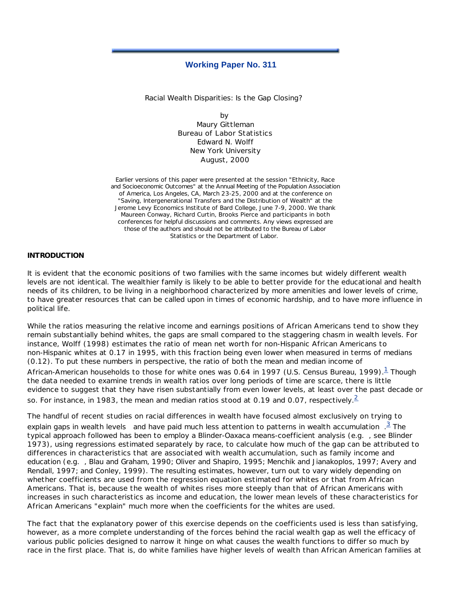# **Working Paper No. 311**

Racial Wealth Disparities: Is the Gap Closing?

by Maury Gittleman Bureau of Labor Statistics Edward N. Wolff New York University August, 2000

Earlier versions of this paper were presented at the session "Ethnicity, Race and Socioeconomic Outcomes" at the Annual Meeting of the Population Association of America, Los Angeles, CA, March 23-25, 2000 and at the conference on "Saving, Intergenerational Transfers and the Distribution of Wealth" at the Jerome Levy Economics Institute of Bard College, June 7-9, 2000. We thank Maureen Conway, Richard Curtin, Brooks Pierce and participants in both conferences for helpful discussions and comments. Any views expressed are those of the authors and should not be attributed to the Bureau of Labor Statistics or the Department of Labor.

#### **INTRODUCTION**

It is evident that the economic positions of two families with the same incomes but widely different wealth levels are not identical. The wealthier family is likely to be able to better provide for the educational and health needs of its children, to be living in a neighborhood characterized by more amenities and lower levels of crime, to have greater resources that can be called upon in times of economic hardship, and to have more influence in political life.

While the ratios measuring the relative income and earnings positions of African Americans tend to show they remain substantially behind whites, the gaps are small compared to the staggering chasm in wealth levels. For instance, Wolff (1998) estimates the ratio of mean net worth for non-Hispanic African Americans to non-Hispanic whites at 0.17 in 1995, with this fraction being even lower when measured in terms of medians (0.12). To put these numbers in perspective, the ratio of both the mean and median income of African-American households to those for white ones was 0.64 in 1997 (U.S. Census Bureau, 1999). $^\mathrm{1}$  Though the data needed to examine trends in wealth ratios over long periods of time are scarce, there is little evidence to suggest that they have risen substantially from even lower levels, at least over the past decade or so. For instance, in 1983, the mean and median ratios stood at 0.19 and 0.07, respectively.<sup>2</sup>

The handful of recent studies on racial differences in wealth have focused almost exclusively on trying to explain gaps in wealth *levels* and have paid much less attention to patterns in wealth *accumulation* . <sup>3</sup> The typical approach followed has been to employ a Blinder-Oaxaca means-coefficient analysis (*e.g.* , see Blinder 1973), using regressions estimated separately by race, to calculate how much of the gap can be attributed to differences in characteristics that are associated with wealth accumulation, such as family income and education (*e.g.* , Blau and Graham, 1990; Oliver and Shapiro, 1995; Menchik and Jianakoplos, 1997; Avery and Rendall, 1997; and Conley, 1999). The resulting estimates, however, turn out to vary widely depending on whether coefficients are used from the regression equation estimated for whites or that from African Americans. That is, because the wealth of whites rises more steeply than that of African Americans with increases in such characteristics as income and education, the lower mean levels of these characteristics for African Americans "explain" much more when the coefficients for the whites are used.

The fact that the explanatory power of this exercise depends on the coefficients used is less than satisfying, however, as a more complete understanding of the forces behind the racial wealth gap as well the efficacy of various public policies designed to narrow it hinge on what causes the wealth functions to differ so much by race in the first place. That is, do white families have higher levels of wealth than African American families at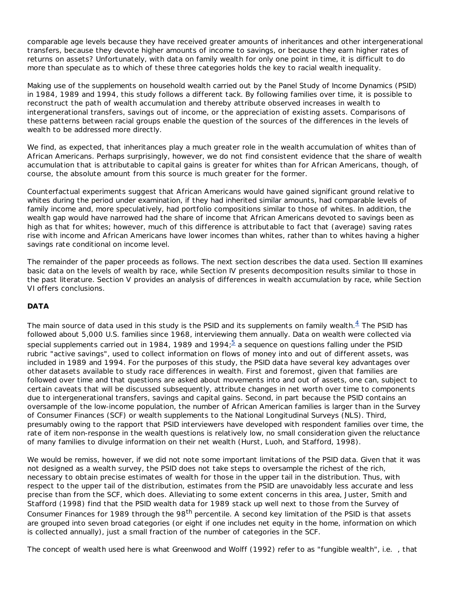comparable age levels because they have received greater amounts of inheritances and other intergenerational transfers, because they devote higher amounts of income to savings, or because they earn higher rates of returns on assets? Unfortunately, with data on family wealth for only one point in time, it is difficult to do more than speculate as to which of these three categories holds the key to racial wealth inequality.

Making use of the supplements on household wealth carried out by the Panel Study of Income Dynamics (PSID) in 1984, 1989 and 1994, this study follows a different tack. By following families over time, it is possible to reconstruct the path of wealth accumulation and thereby attribute observed increases in wealth to intergenerational transfers, savings out of income, or the appreciation of existing assets. Comparisons of these patterns between racial groups enable the question of the sources of the differences in the levels of wealth to be addressed more directly.

We find, as expected, that inheritances play a much greater role in the wealth accumulation of whites than of African Americans. Perhaps surprisingly, however, we do not find consistent evidence that the share of wealth accumulation that is attributable to capital gains is greater for whites than for African Americans, though, of course, the absolute amount from this source is much greater for the former.

Counterfactual experiments suggest that African Americans would have gained significant ground relative to whites during the period under examination, if they had inherited similar amounts, had comparable levels of family income and, more speculatively, had portfolio compositions similar to those of whites. In addition, the wealth gap would have narrowed had the share of income that African Americans devoted to savings been as high as that for whites; however, much of this difference is attributable to fact that (average) saving rates rise with income and African Americans have lower incomes than whites, rather than to whites having a higher savings rate conditional on income level.

The remainder of the paper proceeds as follows. The next section describes the data used. Section III examines basic data on the levels of wealth by race, while Section IV presents decomposition results similar to those in the past literature. Section V provides an analysis of differences in wealth accumulation by race, while Section VI offers conclusions.

# **DATA**

The main source of data used in this study is the PSID and its supplements on family wealth. $^{\underline{A}}$  The PSID has followed about 5,000 U.S. families since 1968, interviewing them annually. Data on wealth were collected via special supplements carried out in 1984, 1989 and 1994; $\frac{5}{2}$  a sequence on questions falling under the PSID rubric "active savings", used to collect information on flows of money into and out of different assets, was included in 1989 and 1994. For the purposes of this study, the PSID data have several key advantages over other datasets available to study race differences in wealth. First and foremost, given that families are followed over time and that questions are asked about movements into and out of assets, one can, subject to certain caveats that will be discussed subsequently, attribute changes in net worth over time to components due to intergenerational transfers, savings and capital gains. Second, in part because the PSID contains an oversample of the low-income population, the number of African American families is larger than in the Survey of Consumer Finances (SCF) or wealth supplements to the National Longitudinal Surveys (NLS). Third, presumably owing to the rapport that PSID interviewers have developed with respondent families over time, the rate of item non-response in the wealth questions is relatively low, no small consideration given the reluctance of many families to divulge information on their net wealth (Hurst, Luoh, and Stafford, 1998).

We would be remiss, however, if we did not note some important limitations of the PSID data. Given that it was not designed as a wealth survey, the PSID does not take steps to oversample the richest of the rich, necessary to obtain precise estimates of wealth for those in the upper tail in the distribution. Thus, with respect to the upper tail of the distribution, estimates from the PSID are unavoidably less accurate and less precise than from the SCF, which does. Alleviating to some extent concerns in this area, Juster, Smith and Stafford (1998) find that the PSID wealth data for 1989 stack up well next to those from the Survey of Consumer Finances for 1989 through the 98<sup>th</sup> percentile. A second key limitation of the PSID is that assets are grouped into seven broad categories (or eight if one includes net equity in the home, information on which is collected annually), just a small fraction of the number of categories in the SCF.

The concept of wealth used here is what Greenwood and Wolff (1992) refer to as "fungible wealth", *i.e.* , that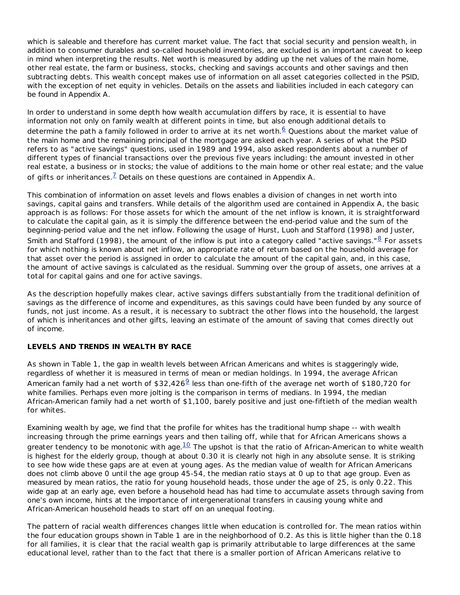which is saleable and therefore has current market value. The fact that social security and pension wealth, in addition to consumer durables and so-called household inventories, are excluded is an important caveat to keep in mind when interpreting the results. Net worth is measured by adding up the net values of the main home, other real estate, the farm or business, stocks, checking and savings accounts and other savings and then subtracting debts. This wealth concept makes use of information on all asset categories collected in the PSID, with the exception of net equity in vehicles. Details on the assets and liabilities included in each category can be found in Appendix A.

In order to understand in some depth how wealth accumulation differs by race, it is essential to have information not only on family wealth at different points in time, but also enough additional details to determine the path a family followed in order to arrive at its net worth. $6$  Questions about the market value of the main home and the remaining principal of the mortgage are asked each year. A series of what the PSID refers to as "active savings" questions, used in 1989 and 1994, also asked respondents about a number of different types of financial transactions over the previous five years including: the amount invested in other real estate, a business or in stocks; the value of additions to the main home or other real estate; and the value of gifts or inheritances.<sup>7</sup> Details on these questions are contained in Appendix A.

This combination of information on asset levels and flows enables a division of changes in net worth into savings, capital gains and transfers. While details of the algorithm used are contained in Appendix A, the basic approach is as follows: For those assets for which the amount of the net inflow is known, it is straightforward to calculate the capital gain, as it is simply the difference between the end-period value and the sum of the beginning-period value and the net inflow. Following the usage of Hurst, Luoh and Stafford (1998) and Juster, Smith and Stafford (1998), the amount of the inflow is put into a category called "active savings." $8$  For assets for which nothing is known about net inflow, an appropriate rate of return based on the household average for that asset over the period is assigned in order to calculate the amount of the capital gain, and, in this case, the amount of active savings is calculated as the residual. Summing over the group of assets, one arrives at a total for capital gains and one for active savings.

As the description hopefully makes clear, active savings differs substantially from the traditional definition of savings as the difference of income and expenditures, as this savings could have been funded by any source of funds, not just income. As a result, it is necessary to subtract the other flows into the household, the largest of which is inheritances and other gifts, leaving an estimate of the amount of saving that comes directly out of income.

# **LEVELS AND TRENDS IN WEALTH BY RACE**

As shown in Table 1, the gap in wealth levels between African Americans and whites is staggeringly wide, regardless of whether it is measured in terms of mean or median holdings. In 1994, the average African American family had a net worth of \$32,426 $9$  less than one-fifth of the average net worth of \$180,720 for white families. Perhaps even more jolting is the comparison in terms of medians. In 1994, the median African-American family had a net worth of \$1,100, barely positive and just one-fiftieth of the median wealth for whites.

Examining wealth by age, we find that the profile for whites has the traditional hump shape -- with wealth increasing through the prime earnings years and then tailing off, while that for African Americans shows a greater tendency to be monotonic with age. $10$  The upshot is that the ratio of African-American to white wealth is highest for the elderly group, though at about 0.30 it is clearly not high in any absolute sense. It is striking to see how wide these gaps are at even at young ages. As the median value of wealth for African Americans does not climb above 0 until the age group 45-54, the median ratio stays at 0 up to that age group. Even as measured by mean ratios, the ratio for young household heads, those under the age of 25, is only 0.22. This wide gap at an early age, even before a household head has had time to accumulate assets through saving from one's own income, hints at the importance of intergenerational transfers in causing young white and African-American household heads to start off on an unequal footing.

The pattern of racial wealth differences changes little when education is controlled for. The mean ratios within the four education groups shown in Table 1 are in the neighborhood of 0.2. As this is little higher than the 0.18 for all families, it is clear that the racial wealth gap is primarily attributable to large differences at the same educational level, rather than to the fact that there is a smaller portion of African Americans relative to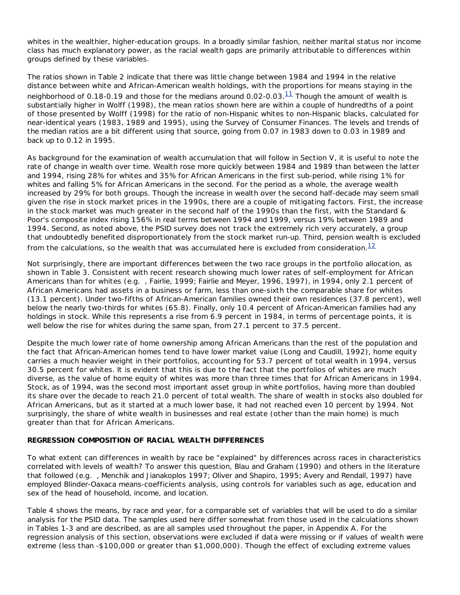whites in the wealthier, higher-education groups. In a broadly similar fashion, neither marital status nor income class has much explanatory power, as the racial wealth gaps are primarily attributable to differences within groups defined by these variables.

The ratios shown in Table 2 indicate that there was little change between 1984 and 1994 in the relative distance between white and African-American wealth holdings, with the proportions for means staying in the neighborhood of 0.18-0.19 and those for the medians around 0.02-0.03. $\frac{11}{11}$  Though the amount of wealth is substantially higher in Wolff (1998), the mean ratios shown here are within a couple of hundredths of a point of those presented by Wolff (1998) for the ratio of non-Hispanic whites to non-Hispanic blacks, calculated for near-identical years (1983, 1989 and 1995), using the Survey of Consumer Finances. The levels and trends of the median ratios are a bit different using that source, going from 0.07 in 1983 down to 0.03 in 1989 and back up to 0.12 in 1995.

As background for the examination of wealth accumulation that will follow in Section V, it is useful to note the rate of change in wealth over time. Wealth rose more quickly between 1984 and 1989 than between the latter and 1994, rising 28% for whites and 35% for African Americans in the first sub-period, while rising 1% for whites and falling 5% for African Americans in the second. For the period as a whole, the average wealth increased by 29% for both groups. Though the increase in wealth over the second half-decade may seem small given the rise in stock market prices in the 1990s, there are a couple of mitigating factors. First, the increase in the stock market was much greater in the second half of the 1990s than the first, with the Standard & Poor's composite index rising 156% in real terms between 1994 and 1999, versus 19% between 1989 and 1994. Second, as noted above, the PSID survey does not track the extremely rich very accurately, a group that undoubtedly benefited disproportionately from the stock market run-up. Third, pension wealth is excluded from the calculations, so the wealth that was accumulated here is excluded from consideration. $12$ 

Not surprisingly, there are important differences between the two race groups in the portfolio allocation, as shown in Table 3. Consistent with recent research showing much lower rates of self-employment for African Americans than for whites (*e.g.* , Fairlie, 1999; Fairlie and Meyer, 1996, 1997), in 1994, only 2.1 percent of African Americans had assets in a business or farm, less than one-sixth the comparable share for whites (13.1 percent). Under two-fifths of African-American families owned their own residences (37.8 percent), well below the nearly two-thirds for whites (65.8). Finally, only 10.4 percent of African-American families had any holdings in stock. While this represents a rise from 6.9 percent in 1984, in terms of percentage points, it is well below the rise for whites during the same span, from 27.1 percent to 37.5 percent.

Despite the much lower rate of home ownership among African Americans than the rest of the population and the fact that African-American homes tend to have lower market value (Long and Caudill, 1992), home equity carries a much heavier weight in their portfolios, accounting for 53.7 percent of total wealth in 1994, versus 30.5 percent for whites. It is evident that this is due to the fact that the portfolios of whites are much diverse, as the value of home equity of whites was more than three times that for African Americans in 1994. Stock, as of 1994, was the second most important asset group in white portfolios, having more than doubled its share over the decade to reach 21.0 percent of total wealth. The share of wealth in stocks also doubled for African Americans, but as it started at a much lower base, it had not reached even 10 percent by 1994. Not surprisingly, the share of white wealth in businesses and real estate (other than the main home) is much greater than that for African Americans.

# **REGRESSION COMPOSITION OF RACIAL WEALTH DIFFERENCES**

To what extent can differences in wealth by race be "explained" by differences across races in characteristics correlated with levels of wealth? To answer this question, Blau and Graham (1990) and others in the literature that followed (*e.g.* , Menchik and Jianakoplos 1997; Oliver and Shapiro, 1995; Avery and Rendall, 1997) have employed Blinder-Oaxaca means-coefficients analysis, using controls for variables such as age, education and sex of the head of household, income, and location.

Table 4 shows the means, by race and year, for a comparable set of variables that will be used to do a similar analysis for the PSID data. The samples used here differ somewhat from those used in the calculations shown in Tables 1-3 and are described, as are all samples used throughout the paper, in Appendix A. For the regression analysis of this section, observations were excluded if data were missing or if values of wealth were extreme (less than -\$100,000 or greater than \$1,000,000). Though the effect of excluding extreme values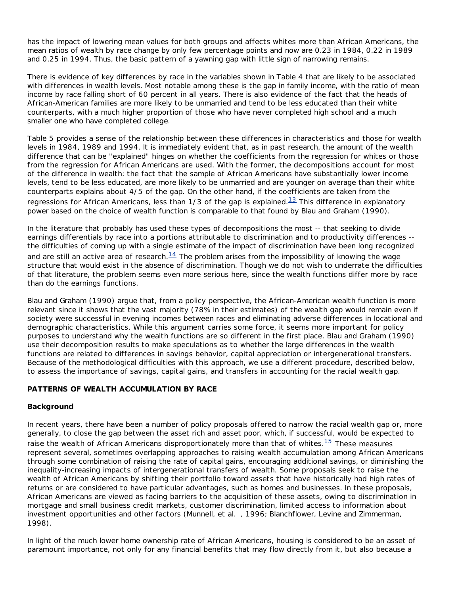has the impact of lowering mean values for both groups and affects whites more than African Americans, the mean ratios of wealth by race change by only few percentage points and now are 0.23 in 1984, 0.22 in 1989 and 0.25 in 1994. Thus, the basic pattern of a yawning gap with little sign of narrowing remains.

There is evidence of key differences by race in the variables shown in Table 4 that are likely to be associated with differences in wealth levels. Most notable among these is the gap in family income, with the ratio of mean income by race falling short of 60 percent in all years. There is also evidence of the fact that the heads of African-American families are more likely to be unmarried and tend to be less educated than their white counterparts, with a much higher proportion of those who have never completed high school and a much smaller one who have completed college.

Table 5 provides a sense of the relationship between these differences in characteristics and those for wealth levels in 1984, 1989 and 1994. It is immediately evident that, as in past research, the amount of the wealth difference that can be "explained" hinges on whether the coefficients from the regression for whites or those from the regression for African Americans are used. With the former, the decompositions account for most of the difference in wealth: the fact that the sample of African Americans have substantially lower income levels, tend to be less educated, are more likely to be unmarried and are younger on average than their white counterparts explains about 4/5 of the gap. On the other hand, if the coefficients are taken from the regressions for African Americans, less than 1/3 of the gap is explained. $^{13}$  This difference in explanatory power based on the choice of wealth function is comparable to that found by Blau and Graham (1990).

In the literature that probably has used these types of decompositions the most -- that seeking to divide earnings differentials by race into a portions attributable to discrimination and to productivity differences - the difficulties of coming up with a single estimate of the impact of discrimination have been long recognized and are still an active area of research. $14$  The problem arises from the impossibility of knowing the wage structure that would exist in the absence of discrimination. Though we do not wish to underrate the difficulties of that literature, the problem seems even more serious here, since the wealth functions differ more by race than do the earnings functions.

Blau and Graham (1990) argue that, from a policy perspective, the African-American wealth function is more relevant since it shows that the vast majority (78% in their estimates) of the wealth gap would remain even if society were successful in evening incomes between races and eliminating adverse differences in locational and demographic characteristics. While this argument carries some force, it seems more important for policy purposes to understand why the wealth functions are so different in the first place. Blau and Graham (1990) use their decomposition results to make speculations as to whether the large differences in the wealth functions are related to differences in savings behavior, capital appreciation or intergenerational transfers. Because of the methodological difficulties with this approach, we use a different procedure, described below, to assess the importance of savings, capital gains, and transfers in accounting for the racial wealth gap.

# **PATTERNS OF WEALTH ACCUMULATION BY RACE**

# **Background**

In recent years, there have been a number of policy proposals offered to narrow the racial wealth gap or, more generally, to close the gap between the asset rich and asset poor, which, if successful, would be expected to raise the wealth of African Americans disproportionately more than that of whites.<sup>15</sup> These measures represent several, sometimes overlapping approaches to raising wealth accumulation among African Americans through some combination of raising the rate of capital gains, encouraging additional savings, or diminishing the inequality-increasing impacts of intergenerational transfers of wealth. Some proposals seek to raise the wealth of African Americans by shifting their portfolio toward assets that have historically had high rates of returns or are considered to have particular advantages, such as homes and businesses. In these proposals, African Americans are viewed as facing barriers to the acquisition of these assets, owing to discrimination in mortgage and small business credit markets, customer discrimination, limited access to information about investment opportunities and other factors (Munnell, *et al.* , 1996; Blanchflower, Levine and Zimmerman, 1998).

In light of the much lower home ownership rate of African Americans, housing is considered to be an asset of paramount importance, not only for any financial benefits that may flow directly from it, but also because a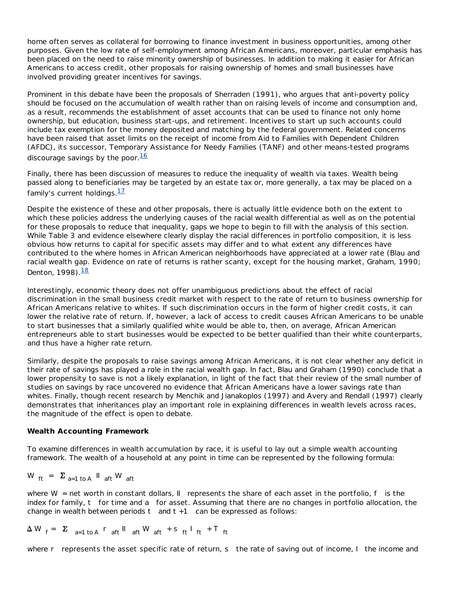home often serves as collateral for borrowing to finance investment in business opportunities, among other purposes. Given the low rate of self-employment among African Americans, moreover, particular emphasis has been placed on the need to raise minority ownership of businesses. In addition to making it easier for African Americans to access credit, other proposals for raising ownership of homes and small businesses have involved providing greater incentives for savings.

Prominent in this debate have been the proposals of Sherraden (1991), who argues that anti-poverty policy should be focused on the accumulation of wealth rather than on raising levels of income and consumption and, as a result, recommends the establishment of asset accounts that can be used to finance not only home ownership, but education, business start-ups, and retirement. Incentives to start up such accounts could include tax exemption for the money deposited and matching by the federal government. Related concerns have been raised that asset limits on the receipt of income from Aid to Families with Dependent Children (AFDC), its successor, Temporary Assistance for Needy Families (TANF) and other means-tested programs discourage savings by the poor.  $\frac{16}{16}$ 

Finally, there has been discussion of measures to reduce the inequality of wealth via taxes. Wealth being passed along to beneficiaries may be targeted by an estate tax or, more generally, a tax may be placed on a family's current holdings.  $17$ 

Despite the existence of these and other proposals, there is actually little evidence both on the extent to which these policies address the underlying causes of the racial wealth differential as well as on the potential for these proposals to reduce that inequality, gaps we hope to begin to fill with the analysis of this section. While Table 3 and evidence elsewhere clearly display the racial differences in portfolio composition, it is less obvious how returns to capital for specific assets may differ and to what extent any differences have contributed to the where homes in African American neighborhoods have appreciated at a lower rate (Blau and racial wealth gap. Evidence on rate of returns is rather scanty, except for the housing market, Graham, 1990; Denton, 1998). $\frac{18}{18}$ 

Interestingly, economic theory does not offer unambiguous predictions about the effect of racial discrimination in the small business credit market with respect to the rate of return to business ownership for African Americans relative to whites. If such discrimination occurs in the form of higher credit costs, it can lower the relative rate of return. If, however, a lack of access to credit causes African Americans to be unable to start businesses that a similarly qualified white would be able to, then, on average, African American entrepreneurs able to start businesses would be expected to be better qualified than their white counterparts, and thus have a higher rate return.

Similarly, despite the proposals to raise savings among African Americans, it is not clear whether any deficit in their rate of savings has played a role in the racial wealth gap. In fact, Blau and Graham (1990) conclude that a lower propensity to save is not a likely explanation, in light of the fact that their review of the small number of studies on savings by race uncovered no evidence that African Americans have a lower savings rate than whites. Finally, though recent research by Menchik and Jianakoplos (1997) and Avery and Rendall (1997) clearly demonstrates that inheritances play an important role in explaining differences in wealth levels across races, the magnitude of the effect is open to debate.

# **Wealth Accounting Framework**

To examine differences in wealth accumulation by race, it is useful to lay out a simple wealth accounting framework. The wealth of a household at any point in time can be represented by the following formula:

$$
W_{ft} = \sum_{a=1 \text{ to } A} W_{aft} W_{aft}
$$

where *W* = net worth in constant dollars, *II* represents the share of each asset in the portfolio, *f* is the index for family, *t* for time and *a* for asset. Assuming that there are no changes in portfolio allocation, the change in wealth between periods *t* and *t +1* can be expressed as follows:

$$
\Delta W_{f} = \Sigma_{a=1 \text{ to } A} r_{aft} W_{aft} W_{aft} + s_{ft} T_{ft} + T_{ft}
$$

where *r* represents the asset specific rate of return, *s* the rate of saving out of income, *I* the income and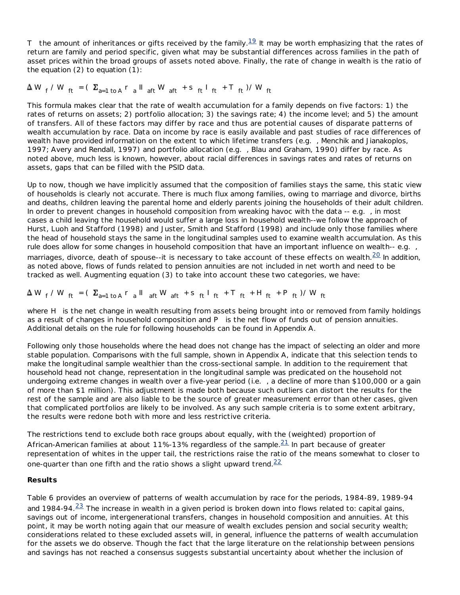*T* the amount of inheritances or gifts received by the family.<sup>19</sup> It may be worth emphasizing that the rates of return are family and period specific, given what may be substantial differences across families in the path of asset prices within the broad groups of assets noted above. Finally, the rate of change in wealth is the ratio of the equation  $(2)$  to equation  $(1)$ :

# $W_f / W_{ft} = ( \sum_{a=1 \text{ to } A} r_a \ln W_{aft} + s_{ft} \ln W_{ft} + T_{ft} ) / W_{ft}$

This formula makes clear that the rate of wealth accumulation for a family depends on five factors: 1) the rates of returns on assets; 2) portfolio allocation; 3) the savings rate; 4) the income level; and 5) the amount of transfers. All of these factors may differ by race and thus are potential causes of disparate patterns of wealth accumulation by race. Data on income by race is easily available and past studies of race differences of wealth have provided information on the extent to which lifetime transfers (*e.g.* , Menchik and Jianakoplos, 1997; Avery and Rendall, 1997) and portfolio allocation (*e.g.* , Blau and Graham, 1990) differ by race. As noted above, much less is known, however, about racial differences in savings rates and rates of returns on assets, gaps that can be filled with the PSID data.

Up to now, though we have implicitly assumed that the composition of families stays the same, this static view of households is clearly not accurate. There is much flux among families, owing to marriage and divorce, births and deaths, children leaving the parental home and elderly parents joining the households of their adult children. In order to prevent changes in household composition from wreaking havoc with the data -- *e.g.* , in most cases a child leaving the household would suffer a large loss in household wealth--we follow the approach of Hurst, Luoh and Stafford (1998) and Juster, Smith and Stafford (1998) and include only those families where the head of household stays the same in the longitudinal samples used to examine wealth accumulation. As this rule does allow for some changes in household composition that have an important influence on wealth-- *e.g.* , marriages, divorce, death of spouse--it is necessary to take account of these effects on wealth. $^{20}$  In addition, as noted above, flows of funds related to pension annuities are not included in net worth and need to be tracked as well. Augmenting equation (3) to take into account these two categories, we have:

$$
\Delta W_f / W_{ft} = (\Sigma_{a=1 \text{ to } A} r_a \parallel_{aft} W_{aft} + s_{ft} \parallel_{ft} + T_{ft} + H_{ft} + P_{ft}) / W_{ft}
$$

where *H* is the net change in wealth resulting from assets being brought into or removed from family holdings as a result of changes in household composition and *P* is the net flow of funds out of pension annuities. Additional details on the rule for following households can be found in Appendix A.

Following only those households where the head does not change has the impact of selecting an older and more stable population. Comparisons with the full sample, shown in Appendix A, indicate that this selection tends to make the longitudinal sample wealthier than the cross-sectional sample. In addition to the requirement that household head not change, representation in the longitudinal sample was predicated on the household not undergoing extreme changes in wealth over a five-year period (*i.e.* , a decline of more than \$100,000 or a gain of more than \$1 million). This adjustment is made both because such outliers can distort the results for the rest of the sample and are also liable to be the source of greater measurement error than other cases, given that complicated portfolios are likely to be involved. As any such sample criteria is to some extent arbitrary, the results were redone both with more and less restrictive criteria.

The restrictions tend to exclude both race groups about equally, with the (weighted) proportion of African-American families at about 11%-13% regardless of the sample. $21$  In part because of greater representation of whites in the upper tail, the restrictions raise the ratio of the means somewhat to closer to one-quarter than one fifth and the ratio shows a slight upward trend.  $22$ 

# **Results**

Table 6 provides an overview of patterns of wealth accumulation by race for the periods, 1984-89, 1989-94 and 1984-94. $\frac{23}{1}$  The increase in wealth in a given period is broken down into flows related to: capital gains, savings out of income, intergenerational transfers, changes in household composition and annuities. At this point, it may be worth noting again that our measure of wealth excludes pension and social security wealth; considerations related to these excluded assets will, in general, influence the patterns of wealth accumulation for the assets we do observe. Though the fact that the large literature on the relationship between pensions and savings has not reached a consensus suggests substantial uncertainty about whether the inclusion of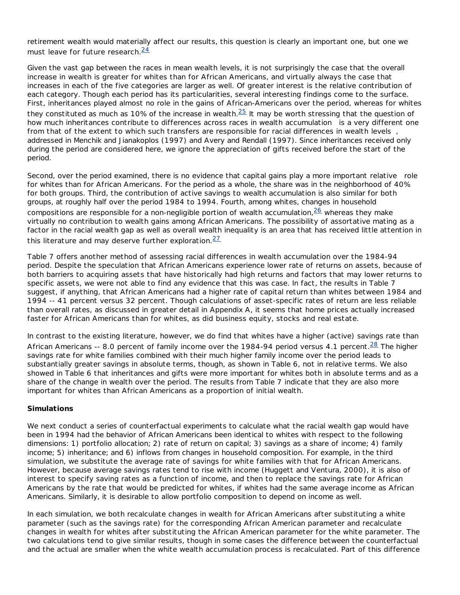retirement wealth would materially affect our results, this question is clearly an important one, but one we must leave for future research.<sup>24</sup>

Given the vast gap between the races in mean wealth levels, it is not surprisingly the case that the overall increase in wealth is greater for whites than for African Americans, and virtually always the case that increases in each of the five categories are larger as well. Of greater interest is the relative contribution of each category. Though each period has its particularities, several interesting findings come to the surface. First, inheritances played almost no role in the gains of African-Americans over the period, whereas for whites they constituted as much as 10% of the increase in wealth. $25$  It may be worth stressing that the question of how much inheritances contribute to differences across races in wealth *accumulation* is a very different one from that of the extent to which such transfers are responsible for racial differences in wealth *levels* , addressed in Menchik and Jianakoplos (1997) and Avery and Rendall (1997). Since inheritances received only during the period are considered here, we ignore the appreciation of gifts received before the start of the period.

Second, over the period examined, there is no evidence that capital gains play a more important *relative* role for whites than for African Americans. For the period as a whole, the share was in the neighborhood of 40% for both groups. Third, the contribution of active savings to wealth accumulation is also similar for both groups, at roughly half over the period 1984 to 1994. Fourth, among whites, changes in household compositions are responsible for a non-negligible portion of wealth accumulation,  $\frac{26}{10}$  whereas they make virtually no contribution to wealth gains among African Americans. The possibility of assortative mating as a factor in the racial wealth gap as well as overall wealth inequality is an area that has received little attention in this literature and may deserve further exploration.  $\frac{27}{2}$ 

Table 7 offers another method of assessing racial differences in wealth accumulation over the 1984-94 period. Despite the speculation that African Americans experience lower rate of returns on assets, because of both barriers to acquiring assets that have historically had high returns and factors that may lower returns to specific assets, we were not able to find any evidence that this was case. In fact, the results in Table 7 suggest, if anything, that African Americans had a higher rate of capital return than whites between 1984 and 1994 -- 41 percent versus 32 percent. Though calculations of asset-specific rates of return are less reliable than overall rates, as discussed in greater detail in Appendix A, it seems that home prices actually increased faster for African Americans than for whites, as did business equity, stocks and real estate.

In contrast to the existing literature, however, we do find that whites have a higher (active) savings rate than African Americans -- 8.0 percent of family income over the 1984-94 period versus 4.1 percent.<sup>28</sup> The higher savings rate for white families combined with their much higher family income over the period leads to substantially greater savings in absolute terms, though, as shown in Table 6, not in relative terms. We also showed in Table 6 that inheritances and gifts were more important for whites both in absolute terms and as a share of the change in wealth over the period. The results from Table 7 indicate that they are also more important for whites than African Americans as a proportion of initial wealth.

# **Simulations**

We next conduct a series of counterfactual experiments to calculate what the racial wealth gap would have been in 1994 had the behavior of African Americans been identical to whites with respect to the following dimensions: 1) portfolio allocation; 2) rate of return on capital; 3) savings as a share of income; 4) family income; 5) inheritance; and 6) inflows from changes in household composition. For example, in the third simulation, we substitute the average rate of savings for white families with that for African Americans. However, because average savings rates tend to rise with income (Huggett and Ventura, 2000), it is also of interest to specify saving rates as a function of income, and then to replace the savings rate for African Americans by the rate that would be predicted for whites, if whites had the same average income as African Americans. Similarly, it is desirable to allow portfolio composition to depend on income as well.

In each simulation, we both recalculate changes in wealth for African Americans after substituting a white parameter (such as the savings rate) for the corresponding African American parameter and recalculate changes in wealth for whites after substituting the African American parameter for the white parameter. The two calculations tend to give similar results, though in some cases the difference between the counterfactual and the actual are smaller when the white wealth accumulation process is recalculated. Part of this difference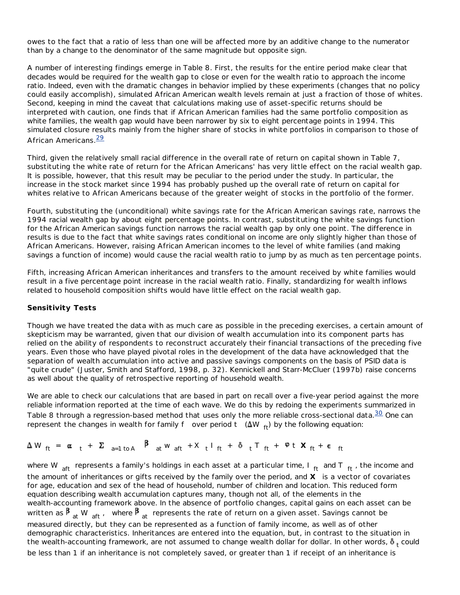owes to the fact that a ratio of less than one will be affected more by an additive change to the numerator than by a change to the denominator of the same magnitude but opposite sign.

A number of interesting findings emerge in Table 8. First, the results for the entire period make clear that decades would be required for the wealth gap to close or even for the wealth ratio to approach the income ratio. Indeed, even with the dramatic changes in behavior implied by these experiments (changes that no policy could easily accomplish), simulated African American wealth levels remain at just a fraction of those of whites. Second, keeping in mind the caveat that calculations making use of asset-specific returns should be interpreted with caution, one finds that if African American families had the same portfolio composition as white families, the wealth gap would have been narrower by six to eight percentage points in 1994. This simulated closure results mainly from the higher share of stocks in white portfolios in comparison to those of African Americans.<sup>29</sup>

Third, given the relatively small racial difference in the overall rate of return on capital shown in Table 7, substituting the white rate of return for the African Americans' has very little effect on the racial wealth gap. It is possible, however, that this result may be peculiar to the period under the study. In particular, the increase in the stock market since 1994 has probably pushed up the overall rate of return on capital for whites relative to African Americans because of the greater weight of stocks in the portfolio of the former.

Fourth, substituting the (unconditional) white savings rate for the African American savings rate, narrows the 1994 racial wealth gap by about eight percentage points. In contrast, substituting the white savings *function* for the African American savings function narrows the racial wealth gap by only one point. The difference in results is due to the fact that white savings rates conditional on income are only slightly higher than those of African Americans. However, raising African American incomes to the level of white families (and making savings a function of income) would cause the racial wealth ratio to jump by as much as ten percentage points.

Fifth, increasing African American inheritances and transfers to the amount received by white families would result in a five percentage point increase in the racial wealth ratio. Finally, standardizing for wealth inflows related to household composition shifts would have little effect on the racial wealth gap.

# **Sensitivity Tests**

Though we have treated the data with as much care as possible in the preceding exercises, a certain amount of skepticism may be warranted, given that our division of wealth accumulation into its component parts has relied on the ability of respondents to reconstruct accurately their financial transactions of the preceding five years. Even those who have played pivotal roles in the development of the data have acknowledged that the separation of wealth accumulation into active and passive savings components on the basis of PSID data is "quite crude" (Juster, Smith and Stafford, 1998, p. 32). Kennickell and Starr-McCluer (1997b) raise concerns as well about the quality of retrospective reporting of household wealth.

We are able to check our calculations that are based in part on recall over a five-year period against the more reliable information reported at the time of each wave. We do this by redoing the experiments summarized in Table 8 through a regression-based method that uses only the more reliable cross-sectional data. $\frac{30}{20}$  One can represent the changes in wealth for family  $f$  over period  $t$  ( $\Delta W$ <sub>ft</sub>) by the following equation:

$$
\Delta W_{ft} = \alpha_{t} + \Sigma_{a=1 \text{ to } A} \beta_{at} W_{aft} + X_{t} I_{ft} + \delta_{t} T_{ft} + \varphi t X_{ft} + \epsilon_{ft}
$$

where *W aft* represents a family's holdings in each asset at a particular time, *I ft* and *T ft* , the income and the amount of inheritances or gifts received by the family over the period, and *X* is a vector of covariates for age, education and sex of the head of household, number of children and location. This reduced form equation describing wealth accumulation captures many, though not all, of the elements in the wealth-accounting framework above. In the absence of portfolio changes, capital gains on each asset can be written as  $\beta$ <sub>at</sub> *W* <sub>aft</sub>, where  $\beta$ <sub>at</sub> represents the rate of return on a given asset. Savings cannot be measured directly, but they can be represented as a function of family income, as well as of other demographic characteristics. Inheritances are entered into the equation, but, in contrast to the situation in the wealth-accounting framework, are not assumed to change wealth dollar for dollar. In other words,  $\bf{\delta}$  <sub>t</sub> could be less than 1 if an inheritance is not completely saved, or greater than 1 if receipt of an inheritance is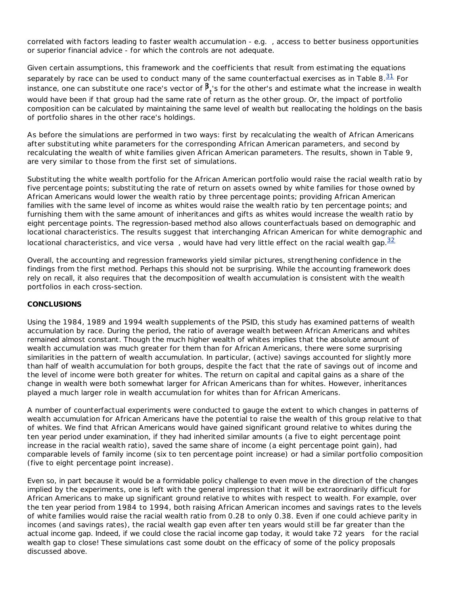correlated with factors leading to faster wealth accumulation - *e.g.* , access to better business opportunities or superior financial advice - for which the controls are not adequate.

Given certain assumptions, this framework and the coefficients that result from estimating the equations separately by race can be used to conduct many of the same counterfactual exercises as in Table 8. $\frac{31}{1}$  For instance, one can substitute one race's vector of  ${\tt P_t}$ 's for the other's and estimate what the increase in wealth would have been if that group had the same rate of return as the other group. Or, the impact of portfolio composition can be calculated by maintaining the same level of wealth but reallocating the holdings on the basis of portfolio shares in the other race's holdings.

As before the simulations are performed in two ways: first by recalculating the wealth of African Americans after substituting white parameters for the corresponding African American parameters, and second by recalculating the wealth of white families given African American parameters. The results, shown in Table 9, are very similar to those from the first set of simulations.

Substituting the white wealth portfolio for the African American portfolio would raise the racial wealth ratio by five percentage points; substituting the rate of return on assets owned by white families for those owned by African Americans would lower the wealth ratio by three percentage points; providing African American families with the same level of income as whites would raise the wealth ratio by ten percentage points; and furnishing them with the same amount of inheritances and gifts as whites would increase the wealth ratio by eight percentage points. The regression-based method also allows counterfactuals based on demographic and locational characteristics. The results suggest that interchanging African American for white demographic and locational characteristics, and *vice versa*, would have had very little effect on the racial wealth gap.<sup>32</sup>

Overall, the accounting and regression frameworks yield similar pictures, strengthening confidence in the findings from the first method. Perhaps this should not be surprising. While the accounting framework does rely on recall, it also requires that the decomposition of wealth accumulation is consistent with the wealth portfolios in each cross-section.

# **CONCLUSIONS**

Using the 1984, 1989 and 1994 wealth supplements of the PSID, this study has examined patterns of wealth accumulation by race. During the period, the ratio of average wealth between African Americans and whites remained almost constant. Though the much higher wealth of whites implies that the absolute amount of wealth accumulation was much greater for them than for African Americans, there were some surprising similarities in the pattern of wealth accumulation. In particular, (active) savings accounted for slightly more than half of wealth accumulation for both groups, despite the fact that the rate of savings out of income and the level of income were both greater for whites. The return on capital and capital gains as a share of the change in wealth were both somewhat larger for African Americans than for whites. However, inheritances played a much larger role in wealth accumulation for whites than for African Americans.

A number of counterfactual experiments were conducted to gauge the extent to which changes in patterns of wealth accumulation for African Americans have the potential to raise the wealth of this group relative to that of whites. We find that African Americans would have gained significant ground relative to whites during the ten year period under examination, if they had inherited similar amounts (a five to eight percentage point increase in the racial wealth ratio), saved the same share of income (a eight percentage point gain), had comparable levels of family income (six to ten percentage point increase) or had a similar portfolio composition (five to eight percentage point increase).

Even so, in part because it would be a formidable policy challenge to even move in the direction of the changes implied by the experiments, one is left with the general impression that it will be extraordinarily difficult for African Americans to make up significant ground relative to whites with respect to wealth. For example, over the ten year period from 1984 to 1994, both raising African American incomes and savings rates to the levels of white families would raise the racial wealth ratio from 0.28 to only 0.38. Even if one could achieve parity in incomes (and savings rates), the racial wealth gap even after ten years would still be far greater than the actual income gap. Indeed, if we could close the racial income gap today, it would take *72 years* for the racial wealth gap to close! These simulations cast some doubt on the efficacy of some of the policy proposals discussed above.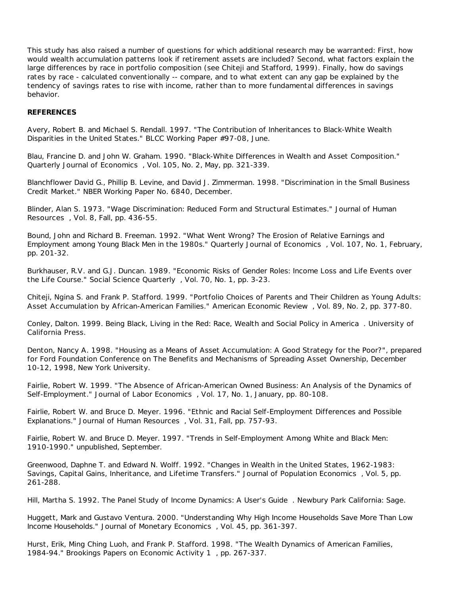This study has also raised a number of questions for which additional research may be warranted: First, how would wealth accumulation patterns look if retirement assets are included? Second, what factors explain the large differences by race in portfolio composition (see Chiteji and Stafford, 1999). Finally, how do savings rates by race - calculated conventionally -- compare, and to what extent can any gap be explained by the tendency of savings rates to rise with income, rather than to more fundamental differences in savings behavior.

## **REFERENCES**

Avery, Robert B. and Michael S. Rendall. 1997. "The Contribution of Inheritances to Black-White Wealth Disparities in the United States." BLCC Working Paper #97-08, June.

Blau, Francine D. and John W. Graham. 1990. "Black-White Differences in Wealth and Asset Composition." *Quarterly Journal of Economics* , Vol. 105, No. 2, May, pp. 321-339.

Blanchflower David G., Phillip B. Levine, and David J. Zimmerman. 1998. "Discrimination in the Small Business Credit Market." NBER Working Paper No. 6840, December.

Blinder, Alan S. 1973. "Wage Discrimination: Reduced Form and Structural Estimates." *Journal of Human Resources* , Vol. 8, Fall, pp. 436-55.

Bound, John and Richard B. Freeman. 1992. "What Went Wrong? The Erosion of Relative Earnings and Employment among Young Black Men in the 1980s." *Quarterly Journal of Economics* , Vol. 107, No. 1, February, pp. 201-32.

Burkhauser, R.V. and G.J. Duncan. 1989. "Economic Risks of Gender Roles: Income Loss and Life Events over the Life Course." *Social Science Quarterly* , Vol. 70, No. 1, pp. 3-23.

Chiteji, Ngina S. and Frank P. Stafford. 1999. "Portfolio Choices of Parents and Their Children as Young Adults: Asset Accumulation by African-American Families." *American Economic Review* , Vol. 89, No. 2, pp. 377-80.

Conley, Dalton. 1999. *Being Black, Living in the Red: Race, Wealth and Social Policy in America* . University of California Press.

Denton, Nancy A. 1998. "Housing as a Means of Asset Accumulation: A Good Strategy for the Poor?", prepared for Ford Foundation Conference on The Benefits and Mechanisms of Spreading Asset Ownership, December 10-12, 1998, New York University.

Fairlie, Robert W. 1999. "The Absence of African-American Owned Business: An Analysis of the Dynamics of Self-Employment." *Journal of Labor Economics* , Vol. 17, No. 1, January, pp. 80-108.

Fairlie, Robert W. and Bruce D. Meyer. 1996. "Ethnic and Racial Self-Employment Differences and Possible Explanations." *Journal of Human Resources* , Vol. 31, Fall, pp. 757-93.

Fairlie, Robert W. and Bruce D. Meyer. 1997. "Trends in Self-Employment Among White and Black Men: 1910-1990." unpublished, September.

Greenwood, Daphne T. and Edward N. Wolff. 1992. "Changes in Wealth in the United States, 1962-1983: Savings, Capital Gains, Inheritance, and Lifetime Transfers." *Journal of Population Economics* , Vol. 5, pp. 261-288.

Hill, Martha S. 1992. *The Panel Study of Income Dynamics: A User's Guide* . Newbury Park California: Sage.

Huggett, Mark and Gustavo Ventura. 2000. "Understanding Why High Income Households Save More Than Low Income Households." *Journal of Monetary Economics* , Vol. 45, pp. 361-397.

Hurst, Erik, Ming Ching Luoh, and Frank P. Stafford. 1998. "The Wealth Dynamics of American Families, 1984-94." *Brookings Papers on Economic Activity 1* , pp. 267-337.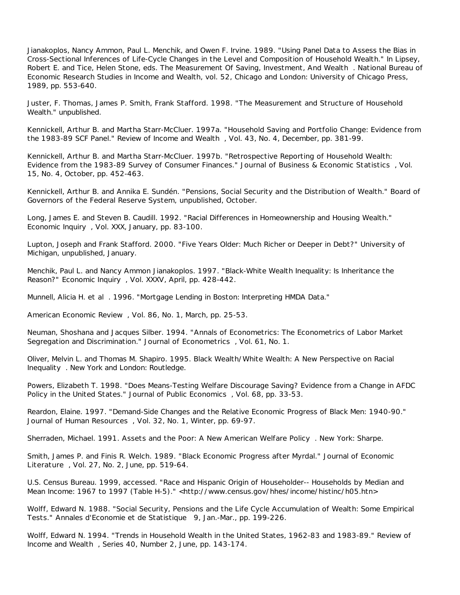Jianakoplos, Nancy Ammon, Paul L. Menchik, and Owen F. Irvine. 1989. "Using Panel Data to Assess the Bias in Cross-Sectional Inferences of Life-Cycle Changes in the Level and Composition of Household Wealth." In Lipsey, Robert E. and Tice, Helen Stone, eds. *The Measurement Of Saving, Investment, And Wealth* . National Bureau of Economic Research Studies in Income and Wealth, vol. 52, Chicago and London: University of Chicago Press, 1989, pp. 553-640.

Juster, F. Thomas, James P. Smith, Frank Stafford. 1998. "The Measurement and Structure of Household Wealth." unpublished.

Kennickell, Arthur B. and Martha Starr-McCluer. 1997a. "Household Saving and Portfolio Change: Evidence from the 1983-89 SCF Panel." *Review of Income and Wealth* , Vol. 43, No. 4, December, pp. 381-99.

Kennickell, Arthur B. and Martha Starr-McCluer. 1997b. "Retrospective Reporting of Household Wealth: Evidence from the 1983-89 Survey of Consumer Finances." *Journal of Business & Economic Statistics* , Vol. 15, No. 4, October, pp. 452-463.

Kennickell, Arthur B. and Annika E. Sundén. "Pensions, Social Security and the Distribution of Wealth." Board of Governors of the Federal Reserve System, unpublished, October.

Long, James E. and Steven B. Caudill. 1992. "Racial Differences in Homeownership and Housing Wealth." *Economic Inquiry* , Vol. XXX, January, pp. 83-100.

Lupton, Joseph and Frank Stafford. 2000. "Five Years Older: Much Richer or Deeper in Debt?" University of Michigan, unpublished, January.

Menchik, Paul L. and Nancy Ammon Jianakoplos. 1997. "Black-White Wealth Inequality: Is Inheritance the Reason?" *Economic Inquiry* , Vol. XXXV, April, pp. 428-442.

Munnell, Alicia H. *et al* . 1996. "Mortgage Lending in Boston: Interpreting HMDA Data."

*American Economic Review* , Vol. 86, No. 1, March, pp. 25-53.

Neuman, Shoshana and Jacques Silber. 1994. "Annals of Econometrics: The Econometrics of Labor Market Segregation and Discrimination." *Journal of Econometrics* , Vol. 61, No. 1.

Oliver, Melvin L. and Thomas M. Shapiro. 1995. *Black Wealth/White Wealth: A New Perspective on Racial Inequality* . New York and London: Routledge.

Powers, Elizabeth T. 1998. "Does Means-Testing Welfare Discourage Saving? Evidence from a Change in AFDC Policy in the United States." *Journal of Public Economics* , Vol. 68, pp. 33-53.

Reardon, Elaine. 1997. "Demand-Side Changes and the Relative Economic Progress of Black Men: 1940-90." *Journal of Human Resources* , Vol. 32, No. 1, Winter, pp. 69-97.

Sherraden, Michael. 1991. *Assets and the Poor: A New American Welfare Policy* . New York: Sharpe.

Smith, James P. and Finis R. Welch. 1989. "Black Economic Progress after Myrdal." *Journal of Economic Literature* , Vol. 27, No. 2, June, pp. 519-64.

U.S. Census Bureau. 1999, accessed. "Race and Hispanic Origin of Householder-- Households by Median and Mean Income: 1967 to 1997 (Table H-5)." <http://www.census.gov/hhes/income/histinc/h05.htn>

Wolff, Edward N. 1988. "Social Security, Pensions and the Life Cycle Accumulation of Wealth: Some Empirical Tests." *Annales d'Economie et de Statistique* 9, Jan.-Mar., pp. 199-226.

Wolff, Edward N. 1994. "Trends in Household Wealth in the United States, 1962-83 and 1983-89." *Review of Income and Wealth* , Series 40, Number 2, June, pp. 143-174.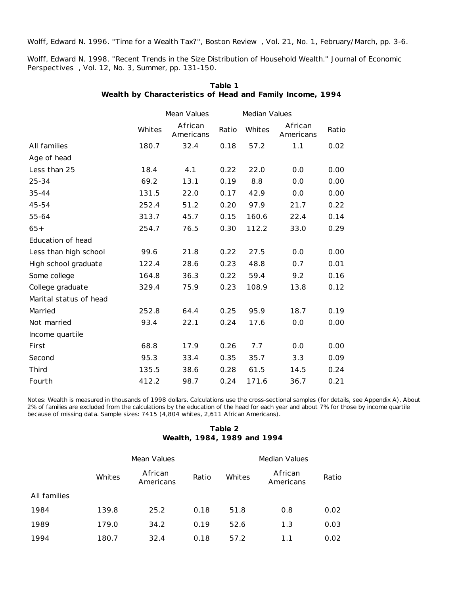Wolff, Edward N. 1996. "Time for a Wealth Tax?", *Boston Review* , Vol. 21, No. 1, February/March, pp. 3-6.

Wolff, Edward N. 1998. "Recent Trends in the Size Distribution of Household Wealth." *Journal of Economic Perspectives* , Vol. 12, No. 3, Summer, pp. 131-150.

|                        |        | Mean Values          |       | <b>Median Values</b> |                      |       |
|------------------------|--------|----------------------|-------|----------------------|----------------------|-------|
|                        | Whites | African<br>Americans | Ratio | Whites               | African<br>Americans | Ratio |
| All families           | 180.7  | 32.4                 | 0.18  | 57.2                 | 1.1                  | 0.02  |
| Age of head            |        |                      |       |                      |                      |       |
| Less than 25           | 18.4   | 4.1                  | 0.22  | 22.0                 | 0.0                  | 0.00  |
| 25-34                  | 69.2   | 13.1                 | 0.19  | 8.8                  | 0.0                  | 0.00  |
| 35-44                  | 131.5  | 22.0                 | 0.17  | 42.9                 | 0.0                  | 0.00  |
| 45-54                  | 252.4  | 51.2                 | 0.20  | 97.9                 | 21.7                 | 0.22  |
| 55-64                  | 313.7  | 45.7                 | 0.15  | 160.6                | 22.4                 | 0.14  |
| $65+$                  | 254.7  | 76.5                 | 0.30  | 112.2                | 33.0                 | 0.29  |
| Education of head      |        |                      |       |                      |                      |       |
| Less than high school  | 99.6   | 21.8                 | 0.22  | 27.5                 | 0.0                  | 0.00  |
| High school graduate   | 122.4  | 28.6                 | 0.23  | 48.8                 | 0.7                  | 0.01  |
| Some college           | 164.8  | 36.3                 | 0.22  | 59.4                 | 9.2                  | 0.16  |
| College graduate       | 329.4  | 75.9                 | 0.23  | 108.9                | 13.8                 | 0.12  |
| Marital status of head |        |                      |       |                      |                      |       |
| Married                | 252.8  | 64.4                 | 0.25  | 95.9                 | 18.7                 | 0.19  |
| Not married            | 93.4   | 22.1                 | 0.24  | 17.6                 | 0.0                  | 0.00  |
| Income quartile        |        |                      |       |                      |                      |       |
| First                  | 68.8   | 17.9                 | 0.26  | 7.7                  | 0.0                  | 0.00  |
| Second                 | 95.3   | 33.4                 | 0.35  | 35.7                 | 3.3                  | 0.09  |
| Third                  | 135.5  | 38.6                 | 0.28  | 61.5                 | 14.5                 | 0.24  |
| Fourth                 | 412.2  | 98.7                 | 0.24  | 171.6                | 36.7                 | 0.21  |

| Table 1                                                   |  |
|-----------------------------------------------------------|--|
| Wealth by Characteristics of Head and Family Income, 1994 |  |

Notes: Wealth is measured in thousands of 1998 dollars. Calculations use the cross-sectional samples (for details, see Appendix A). About 2% of families are excluded from the calculations by the education of the head for each year and about 7% for those by income quartile because of missing data. Sample sizes: 7415 (4,804 whites, 2,611 African Americans).

# **Table 2 Wealth, 1984, 1989 and 1994**

|              |        | Mean Values          | <b>Median Values</b> |        |                      |       |
|--------------|--------|----------------------|----------------------|--------|----------------------|-------|
|              | Whites | African<br>Americans | Ratio                | Whites | African<br>Americans | Ratio |
| All families |        |                      |                      |        |                      |       |
| 1984         | 139.8  | 25.2                 | 0.18                 | 51.8   | 0.8                  | 0.02  |
| 1989         | 179.0  | 34.2                 | 0.19                 | 52.6   | 1.3                  | 0.03  |
| 1994         | 180.7  | 32.4                 | 0.18                 | 57.2   | 1.1                  | 0.02  |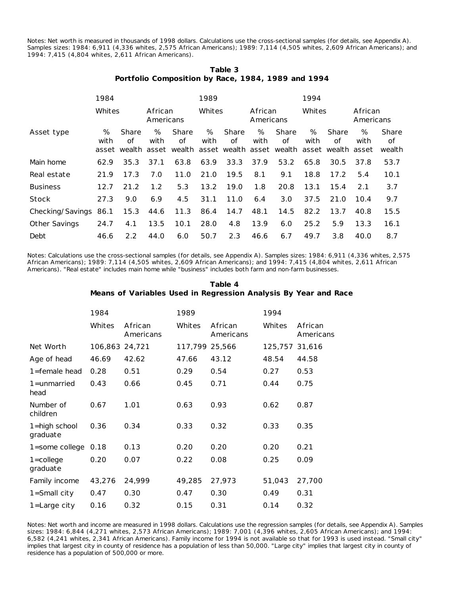Notes: Net worth is measured in thousands of 1998 dollars. Calculations use the cross-sectional samples (for details, see Appendix A). Samples sizes: 1984: 6,911 (4,336 whites, 2,575 African Americans); 1989: 7,114 (4,505 whites, 2,609 African Americans); and 1994: 7,415 (4,804 whites, 2,611 African Americans).

|                                                    | Table 3 |  |  |
|----------------------------------------------------|---------|--|--|
| Portfolio Composition by Race, 1984, 1989 and 1994 |         |  |  |

|                      | 1984      |             |                      | 1989        |           |             | 1994                 |                                                                                       |           |             |                      |                       |
|----------------------|-----------|-------------|----------------------|-------------|-----------|-------------|----------------------|---------------------------------------------------------------------------------------|-----------|-------------|----------------------|-----------------------|
|                      | Whites    |             | African<br>Americans |             | Whites    |             | African<br>Americans |                                                                                       | Whites    |             | African<br>Americans |                       |
| Asset type           | %<br>with | Share<br>οf | %<br>with            | Share<br>of | %<br>with | Share<br>οf | %<br>with            | Share<br>of<br>asset wealth asset wealth asset wealth asset wealth asset wealth asset | %<br>with | Share<br>οf | %<br>with            | Share<br>οf<br>wealth |
| Main home            | 62.9      | 35.3        | 37.1                 | 63.8        | 63.9      | 33.3        | 37.9                 | 53.2                                                                                  | 65.8      | 30.5        | 37.8                 | 53.7                  |
| Real estate          | 21.9      | 17.3        | 7.0                  | 11.0        | 21.0      | 19.5        | 8.1                  | 9.1                                                                                   | 18.8      | 17.2        | 5.4                  | 10.1                  |
| <b>Business</b>      | 12.7      | 21.2        | 1.2                  | 5.3         | 13.2      | 19.0        | 1.8                  | 20.8                                                                                  | 13.1      | 15.4        | 2.1                  | 3.7                   |
| Stock                | 27.3      | 9.0         | 6.9                  | 4.5         | 31.1      | 11.0        | 6.4                  | 3.0                                                                                   | 37.5      | 21.0        | 10.4                 | 9.7                   |
| Checking/Savings     | 86.1      | 15.3        | 44.6                 | 11.3        | 86.4      | 14.7        | 48.1                 | 14.5                                                                                  | 82.2      | 13.7        | 40.8                 | 15.5                  |
| <b>Other Savings</b> | 24.7      | 4.1         | 13.5                 | 10.1        | 28.0      | 4.8         | 13.9                 | 6.0                                                                                   | 25.2      | 5.9         | 13.3                 | 16.1                  |
| Debt                 | 46.6      | 2.2         | 44.0                 | 6.0         | 50.7      | 2.3         | 46.6                 | 6.7                                                                                   | 49.7      | 3.8         | 40.0                 | 8.7                   |

Notes: Calculations use the cross-sectional samples (for details, see Appendix A). Samples sizes: 1984: 6,911 (4,336 whites, 2,575 African Americans); 1989: 7,114 (4,505 whites, 2,609 African Americans); and 1994: 7,415 (4,804 whites, 2,611 African Americans). "Real estate" includes main home while "business" includes both farm and non-farm businesses.

## **Table 4 Means of Variables Used in Regression Analysis By Year and Race**

|        |                      | 1989           |                      | 1994           |                      |
|--------|----------------------|----------------|----------------------|----------------|----------------------|
| Whites | African<br>Americans | Whites         | African<br>Americans | Whites         | African<br>Americans |
|        |                      |                |                      | 125,757        | 31,616               |
| 46.69  | 42.62                | 47.66          | 43.12                | 48.54          | 44.58                |
| 0.28   | 0.51                 | 0.29           | 0.54                 | 0.27           | 0.53                 |
| 0.43   | 0.66                 | 0.45           | 0.71                 | 0.44           | 0.75                 |
| 0.67   | 1.01                 | 0.63           | 0.93                 | 0.62           | 0.87                 |
| 0.36   | 0.34                 | 0.33           | 0.32                 | 0.33           | 0.35                 |
| 0.18   | 0.13                 | 0.20           | 0.20                 | 0.20           | 0.21                 |
| 0.20   | 0.07                 | 0.22           | 0.08                 | 0.25           | 0.09                 |
| 43,276 | 24,999               | 49,285         | 27,973               | 51,043         | 27,700               |
| 0.47   | 0.30                 | 0.47           | 0.30                 | 0.49           | 0.31                 |
| 0.16   | 0.32                 | 0.15           | 0.31                 | 0.14           | 0.32                 |
|        | 1984                 | 106,863 24,721 |                      | 117,799 25,566 |                      |

Notes: Net worth and income are measured in 1998 dollars. Calculations use the regression samples (for details, see Appendix A). Samples sizes: 1984: 6,844 (4,271 whites, 2,573 African Americans); 1989: 7,001 (4,396 whites, 2,605 African Americans); and 1994: 6,582 (4,241 whites, 2,341 African Americans). Family income for 1994 is not available so that for 1993 is used instead. "Small city" implies that largest city in county of residence has a population of less than 50,000. "Large city" implies that largest city in county of residence has a population of 500,000 or more.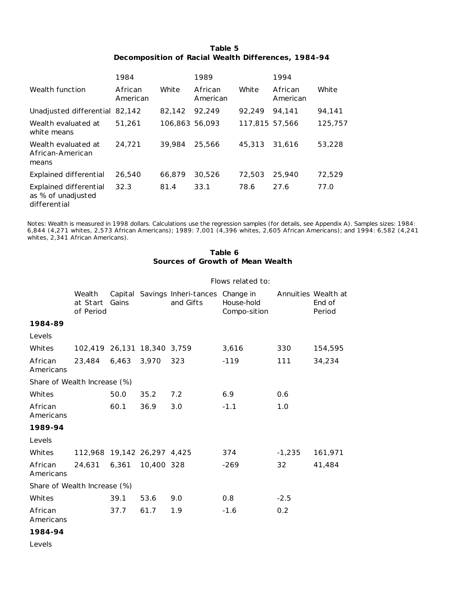| Table 5                                             |  |
|-----------------------------------------------------|--|
| Decomposition of Racial Wealth Differences, 1984-94 |  |

|                                                              | 1984                |                | 1989                |                | 1994                |         |
|--------------------------------------------------------------|---------------------|----------------|---------------------|----------------|---------------------|---------|
| Wealth function                                              | African<br>American | White          | African<br>American | White          | African<br>American | White   |
| Unadjusted differential 82,142                               |                     | 82.142         | 92.249              | 92.249         | 94.141              | 94,141  |
| Wealth evaluated at<br>white means                           | 51,261              | 106.863 56.093 |                     | 117.815 57.566 |                     | 125,757 |
| Wealth evaluated at<br>African-American<br>means             | 24.721              | 39,984         | 25,566              | 45,313         | 31.616              | 53,228  |
| Explained differential                                       | 26,540              | 66,879         | 30,526              | 72,503         | 25,940              | 72,529  |
| Explained differential<br>as % of unadjusted<br>differential | 32.3                | 81.4           | 33.1                | 78.6           | 27.6                | 77.0    |

Notes: Wealth is measured in 1998 dollars. Calculations use the regression samples (for details, see Appendix A). Samples sizes: 1984: 6,844 (4,271 whites, 2,573 African Americans); 1989: 7,001 (4,396 whites, 2,605 African Americans); and 1994: 6,582 (4,241 whites, 2,341 African Americans).

# **Table 6 Sources of Growth of Mean Wealth**

#### Flows related to:

|                              | Wealth<br>at Start<br>of Period | Gains |            | Capital Savings Inheri-tances Change in<br>and Gifts | House-hold<br>Compo-sition |          | Annuities Wealth at<br>End of<br>Period |
|------------------------------|---------------------------------|-------|------------|------------------------------------------------------|----------------------------|----------|-----------------------------------------|
| 1984-89                      |                                 |       |            |                                                      |                            |          |                                         |
| Levels                       |                                 |       |            |                                                      |                            |          |                                         |
| Whites                       | 102,419 26,131 18,340 3,759     |       |            |                                                      | 3,616                      | 330      | 154,595                                 |
| African<br>Americans         | 23,484                          | 6,463 | 3.970      | 323                                                  | $-119$                     | 111      | 34,234                                  |
| Share of Wealth Increase (%) |                                 |       |            |                                                      |                            |          |                                         |
| Whites                       |                                 | 50.0  | 35.2       | 7.2                                                  | 6.9                        | 0.6      |                                         |
| African<br>Americans         |                                 | 60.1  | 36.9       | 3.0                                                  | $-1.1$                     | 1.0      |                                         |
| 1989-94                      |                                 |       |            |                                                      |                            |          |                                         |
| Levels                       |                                 |       |            |                                                      |                            |          |                                         |
| Whites                       | 112,968 19,142 26,297 4,425     |       |            |                                                      | 374                        | $-1,235$ | 161,971                                 |
| African<br>Americans         | 24,631                          | 6,361 | 10,400 328 |                                                      | $-269$                     | 32       | 41,484                                  |
| Share of Wealth Increase (%) |                                 |       |            |                                                      |                            |          |                                         |
| Whites                       |                                 | 39.1  | 53.6       | 9.0                                                  | 0.8                        | $-2.5$   |                                         |
| African<br>Americans         |                                 | 37.7  | 61.7       | 1.9                                                  | $-1.6$                     | 0.2      |                                         |

**1984-94**

*Levels*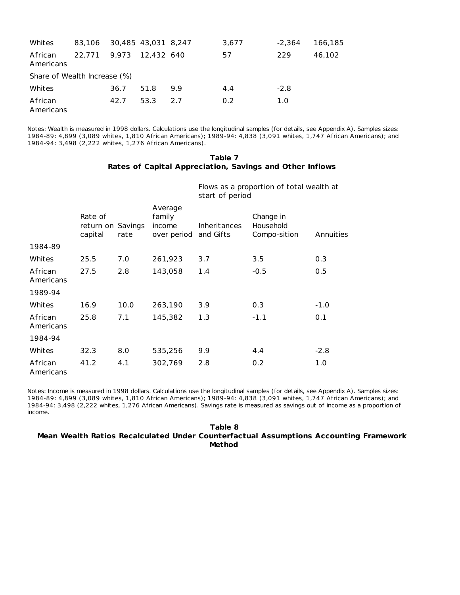| Whites               | 83.106 30.485 43.031 8.247   |       |            |     | 3,677 | $-2.364$ | 166,185 |  |
|----------------------|------------------------------|-------|------------|-----|-------|----------|---------|--|
| African<br>Americans | 22.771                       | 9.973 | 12,432 640 |     | 57    | 229      | 46,102  |  |
|                      | Share of Wealth Increase (%) |       |            |     |       |          |         |  |
| Whites               |                              | 36.7  | 51.8       | 9.9 | 4.4   | $-2.8$   |         |  |
| African<br>Americans |                              | 42.7  | 53.3       | 2.7 | 0.2   | 1.0      |         |  |

Notes: Wealth is measured in 1998 dollars. Calculations use the longitudinal samples (for details, see Appendix A). Samples sizes: 1984-89: 4,899 (3,089 whites, 1,810 African Americans); 1989-94: 4,838 (3,091 whites, 1,747 African Americans); and 1984-94: 3,498 (2,222 whites, 1,276 African Americans).

## **Table 7 Rates of Capital Appreciation, Savings and Other Inflows**

Flows as a proportion of total wealth at start of period

|                      | Rate of<br>return on Savings<br>capital | rate | Average<br>family<br>income<br>over period | <b>Inheritances</b><br>and Gifts | Change in<br>Household<br>Compo-sition | Annuities |
|----------------------|-----------------------------------------|------|--------------------------------------------|----------------------------------|----------------------------------------|-----------|
| 1984-89              |                                         |      |                                            |                                  |                                        |           |
| Whites               | 25.5                                    | 7.0  | 261,923                                    | 3.7                              | 3.5                                    | 0.3       |
| African<br>Americans | 27.5                                    | 2.8  | 143,058                                    | 1.4                              | $-0.5$                                 | 0.5       |
| 1989-94              |                                         |      |                                            |                                  |                                        |           |
| Whites               | 16.9                                    | 10.0 | 263,190                                    | 3.9                              | 0.3                                    | $-1.0$    |
| African<br>Americans | 25.8                                    | 7.1  | 145,382                                    | 1.3                              | $-1.1$                                 | 0.1       |
| 1984-94              |                                         |      |                                            |                                  |                                        |           |
| Whites               | 32.3                                    | 8.0  | 535,256                                    | 9.9                              | 4.4                                    | $-2.8$    |
| African<br>Americans | 41.2                                    | 4.1  | 302,769                                    | 2.8                              | 0.2 <sub>0</sub>                       | 1.0       |

Notes: Income is measured in 1998 dollars. Calculations use the longitudinal samples (for details, see Appendix A). Samples sizes: 1984-89: 4,899 (3,089 whites, 1,810 African Americans); 1989-94: 4,838 (3,091 whites, 1,747 African Americans); and 1984-94: 3,498 (2,222 whites, 1,276 African Americans). Savings rate is measured as savings out of income as a proportion of income.

### **Table 8 Mean Wealth Ratios Recalculated Under Counterfactual Assumptions Accounting Framework Method**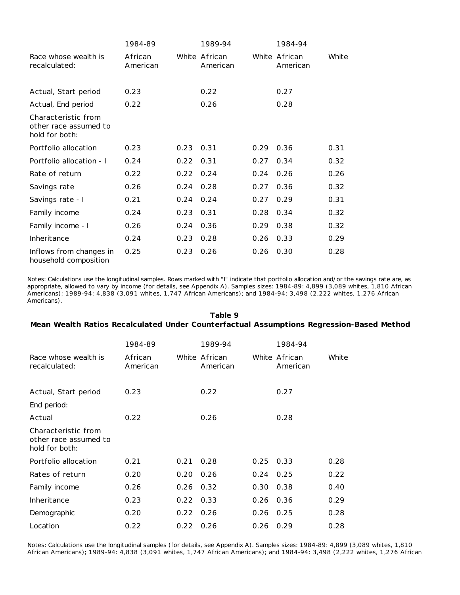|                                                                | 1984-89             |      | 1989-94                   |      | 1984-94                   |       |
|----------------------------------------------------------------|---------------------|------|---------------------------|------|---------------------------|-------|
| Race whose wealth is<br>recalculated:                          | African<br>American |      | White African<br>American |      | White African<br>American | White |
| Actual, Start period                                           | 0.23                |      | 0.22                      |      | 0.27                      |       |
| Actual, End period                                             | 0.22                |      | 0.26                      |      | 0.28                      |       |
| Characteristic from<br>other race assumed to<br>hold for both: |                     |      |                           |      |                           |       |
| Portfolio allocation                                           | 0.23                | 0.23 | 0.31                      | 0.29 | 0.36                      | 0.31  |
| Portfolio allocation - I                                       | 0.24                | 0.22 | 0.31                      | 0.27 | 0.34                      | 0.32  |
| Rate of return                                                 | 0.22                | 0.22 | 0.24                      | 0.24 | 0.26                      | 0.26  |
| Savings rate                                                   | 0.26                | 0.24 | 0.28                      | 0.27 | 0.36                      | 0.32  |
| Savings rate - I                                               | 0.21                | 0.24 | 0.24                      | 0.27 | 0.29                      | 0.31  |
| Family income                                                  | 0.24                | 0.23 | 0.31                      | 0.28 | 0.34                      | 0.32  |
| Family income - I                                              | 0.26                | 0.24 | 0.36                      | 0.29 | 0.38                      | 0.32  |
| Inheritance                                                    | 0.24                | 0.23 | 0.28                      | 0.26 | 0.33                      | 0.29  |
| Inflows from changes in<br>household composition               | 0.25                | 0.23 | 0.26                      | 0.26 | 0.30                      | 0.28  |

Notes: Calculations use the longitudinal samples. Rows marked with "I" indicate that portfolio allocation and/or the savings rate are, as appropriate, allowed to vary by income (for details, see Appendix A). Samples sizes: 1984-89: 4,899 (3,089 whites, 1,810 African Americans); 1989-94: 4,838 (3,091 whites, 1,747 African Americans); and 1984-94: 3,498 (2,222 whites, 1,276 African Americans).

## **Table 9 Mean Wealth Ratios Recalculated Under Counterfactual Assumptions Regression-Based Method**

|                                                                | 1984-89             |             | 1989-94                   |      | 1984-94                   |       |
|----------------------------------------------------------------|---------------------|-------------|---------------------------|------|---------------------------|-------|
| Race whose wealth is<br>recalculated:                          | African<br>American |             | White African<br>American |      | White African<br>American | White |
| Actual, Start period                                           | 0.23                |             | 0.22                      |      | 0.27                      |       |
| End period:                                                    |                     |             |                           |      |                           |       |
| Actual                                                         | 0.22                |             | 0.26                      |      | 0.28                      |       |
| Characteristic from<br>other race assumed to<br>hold for both: |                     |             |                           |      |                           |       |
| Portfolio allocation                                           | 0.21                | 0.21        | 0.28                      | 0.25 | 0.33                      | 0.28  |
| Rates of return                                                | 0.20                | 0.20        | 0.26                      | 0.24 | 0.25                      | 0.22  |
| Family income                                                  | 0.26                | $0.26$ 0.32 |                           | 0.30 | 0.38                      | 0.40  |
| Inheritance                                                    | 0.23                | 0.22        | 0.33                      | 0.26 | 0.36                      | 0.29  |
| Demographic                                                    | 0.20                | 0.22        | 0.26                      | 0.26 | 0.25                      | 0.28  |
| Location                                                       | 0.22                | 0.22        | 0.26                      | 0.26 | 0.29                      | 0.28  |

Notes: Calculations use the longitudinal samples (for details, see Appendix A). Samples sizes: 1984-89: 4,899 (3,089 whites, 1,810 African Americans); 1989-94: 4,838 (3,091 whites, 1,747 African Americans); and 1984-94: 3,498 (2,222 whites, 1,276 African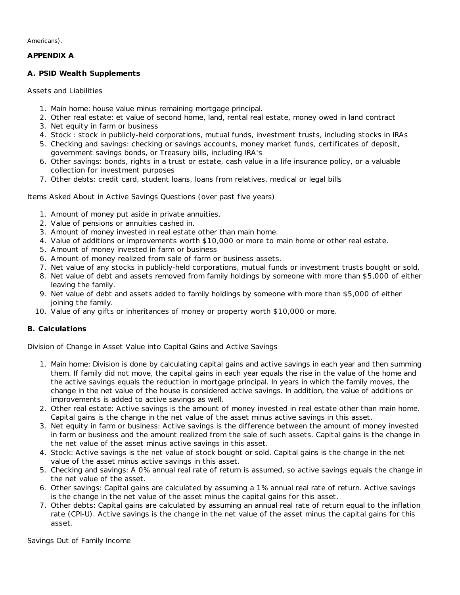Americans).

# **APPENDIX A**

# **A. PSID Wealth Supplements**

# *Assets and Liabilities*

- 1. Main home: house value minus remaining mortgage principal.
- 2. Other real estate: et value of second home, land, rental real estate, money owed in land contract
- 3. Net equity in farm or business
- 4. Stock : stock in publicly-held corporations, mutual funds, investment trusts, including stocks in IRAs
- 5. Checking and savings: checking or savings accounts, money market funds, certificates of deposit, government savings bonds, or Treasury bills, including IRA's
- 6. Other savings: bonds, rights in a trust or estate, cash value in a life insurance policy, or a valuable collection for investment purposes
- 7. Other debts: credit card, student loans, loans from relatives, medical or legal bills

# *Items Asked About in Active Savings Questions (over past five years)*

- 1. Amount of money put aside in private annuities.
- 2. Value of pensions or annuities cashed in.
- 3. Amount of money invested in real estate other than main home.
- 4. Value of additions or improvements worth \$10,000 or more to main home or other real estate.
- 5. Amount of money invested in farm or business
- 6. Amount of money realized from sale of farm or business assets.
- 7. Net value of any stocks in publicly-held corporations, mutual funds or investment trusts bought or sold.
- 8. Net value of debt and assets removed from family holdings by someone with more than \$5,000 of either leaving the family.
- 9. Net value of debt and assets added to family holdings by someone with more than \$5,000 of either joining the family.
- 10. Value of any gifts or inheritances of money or property worth \$10,000 or more.

# **B. Calculations**

# *Division of Change in Asset Value into Capital Gains and Active Savings*

- 1. Main home: Division is done by calculating capital gains and active savings in each year and then summing them. If family did not move, the capital gains in each year equals the rise in the value of the home and the active savings equals the reduction in mortgage principal. In years in which the family moves, the change in the net value of the house is considered active savings. In addition, the value of additions or improvements is added to active savings as well.
- 2. Other real estate: Active savings is the amount of money invested in real estate other than main home. Capital gains is the change in the net value of the asset minus active savings in this asset.
- 3. Net equity in farm or business: Active savings is the difference between the amount of money invested in farm or business and the amount realized from the sale of such assets. Capital gains is the change in the net value of the asset minus active savings in this asset.
- 4. Stock: Active savings is the net value of stock bought or sold. Capital gains is the change in the net value of the asset minus active savings in this asset.
- 5. Checking and savings: A 0% annual real rate of return is assumed, so active savings equals the change in the net value of the asset.
- 6. Other savings: Capital gains are calculated by assuming a 1% annual real rate of return. Active savings is the change in the net value of the asset minus the capital gains for this asset.
- 7. Other debts: Capital gains are calculated by assuming an annual real rate of return equal to the inflation rate (CPI-U). Active savings is the change in the net value of the asset minus the capital gains for this asset.

*Savings Out of Family Income*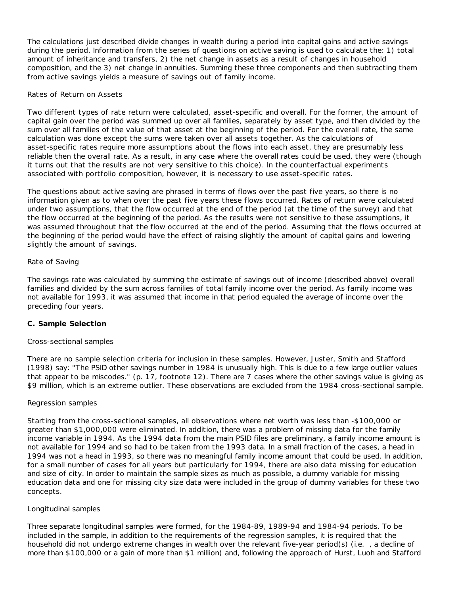The calculations just described divide changes in wealth during a period into capital gains and active savings during the period. Information from the series of questions on active saving is used to calculate the: 1) total amount of inheritance and transfers, 2) the net change in assets as a result of changes in household composition, and the 3) net change in annuities. Summing these three components and then subtracting them from active savings yields a measure of savings out of family income.

# *Rates of Return on Assets*

Two different types of rate return were calculated, asset-specific and overall. For the former, the amount of capital gain over the period was summed up over all families, separately by asset type, and then divided by the sum over all families of the value of that asset at the beginning of the period. For the overall rate, the same calculation was done except the sums were taken over all assets together. As the calculations of asset-specific rates require more assumptions about the flows into each asset, they are presumably less reliable then the overall rate. As a result, in any case where the overall rates could be used, they were (though it turns out that the results are not very sensitive to this choice). In the counterfactual experiments associated with portfolio composition, however, it is necessary to use asset-specific rates.

The questions about active saving are phrased in terms of flows over the past five years, so there is no information given as to when over the past five years these flows occurred. Rates of return were calculated under two assumptions, that the flow occurred at the end of the period (at the time of the survey) and that the flow occurred at the beginning of the period. As the results were not sensitive to these assumptions, it was assumed throughout that the flow occurred at the end of the period. Assuming that the flows occurred at the beginning of the period would have the effect of raising slightly the amount of capital gains and lowering slightly the amount of savings.

# *Rate of Saving*

The savings rate was calculated by summing the estimate of savings out of income (described above) overall families and divided by the sum across families of total family income over the period. As family income was not available for 1993, it was assumed that income in that period equaled the average of income over the preceding four years.

# **C. Sample Selection**

# *Cross-sectional samples*

There are no sample selection criteria for inclusion in these samples. However, Juster, Smith and Stafford (1998) say: "The PSID other savings number in 1984 is unusually high. This is due to a few large outlier values that appear to be miscodes." (p. 17, footnote 12). There are 7 cases where the other savings value is giving as \$9 million, which is an extreme outlier. These observations are excluded from the 1984 cross-sectional sample.

# *Regression samples*

Starting from the cross-sectional samples, all observations where net worth was less than -\$100,000 or greater than \$1,000,000 were eliminated. In addition, there was a problem of missing data for the family income variable in 1994. As the 1994 data from the main PSID files are preliminary, a family income amount is not available for 1994 and so had to be taken from the 1993 data. In a small fraction of the cases, a head in 1994 was not a head in 1993, so there was no meaningful family income amount that could be used. In addition, for a small number of cases for all years but particularly for 1994, there are also data missing for education and size of city. In order to maintain the sample sizes as much as possible, a dummy variable for missing education data and one for missing city size data were included in the group of dummy variables for these two concepts.

# *Longitudinal samples*

Three separate longitudinal samples were formed, for the 1984-89, 1989-94 and 1984-94 periods. To be included in the sample, in addition to the requirements of the regression samples, it is required that the household did not undergo extreme changes in wealth over the relevant five-year period(s) (*i.e.* , a decline of more than \$100,000 or a gain of more than \$1 million) and, following the approach of Hurst, Luoh and Stafford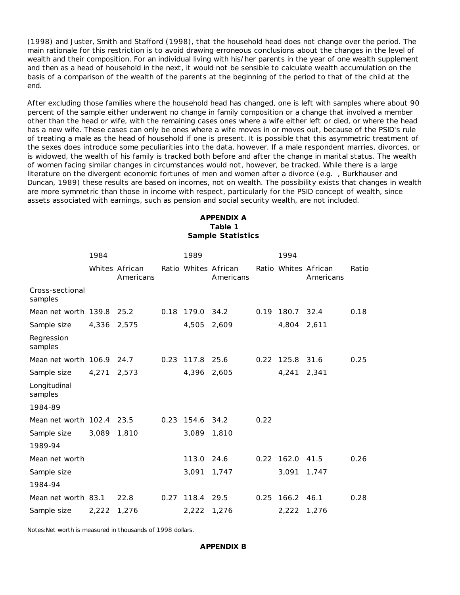(1998) and Juster, Smith and Stafford (1998), that the household head does not change over the period. The main rationale for this restriction is to avoid drawing erroneous conclusions about the changes in the level of wealth and their composition. For an individual living with his/her parents in the year of one wealth supplement and then as a head of household in the next, it would not be sensible to calculate wealth accumulation on the basis of a comparison of the wealth of the parents at the beginning of the period to that of the child at the end.

After excluding those families where the household head has changed, one is left with samples where about 90 percent of the sample either underwent no change in family composition or a change that involved a member other than the head or wife, with the remaining cases ones where a wife either left or died, or where the head has a new wife. These cases can only be ones where a wife moves in or moves out, because of the PSID's rule of treating a male as the head of household if one is present. It is possible that this asymmetric treatment of the sexes does introduce some peculiarities into the data, however. If a male respondent marries, divorces, or is widowed, the wealth of his family is tracked both before and after the change in marital status. The wealth of women facing similar changes in circumstances would not, however, be tracked. While there is a large literature on the divergent economic fortunes of men and women after a divorce (*e.g.* , Burkhauser and Duncan, 1989) these results are based on incomes, not on wealth. The possibility exists that changes in wealth are more symmetric than those in income with respect, particularly for the PSID concept of wealth, since assets associated with earnings, such as pension and social security wealth, are not included.

# **APPENDIX A Table 1 Sample Statistics**

|                             | 1984        |                             |      | 1989            |                                   |      | 1994            |                                   |       |
|-----------------------------|-------------|-----------------------------|------|-----------------|-----------------------------------|------|-----------------|-----------------------------------|-------|
|                             |             | Whites African<br>Americans |      |                 | Ratio Whites African<br>Americans |      |                 | Ratio Whites African<br>Americans | Ratio |
| Cross-sectional<br>samples  |             |                             |      |                 |                                   |      |                 |                                   |       |
| Mean net worth $139.8$ 25.2 |             |                             | 0.18 | 179.0 34.2      |                                   |      | 0.19 180.7 32.4 |                                   | 0.18  |
| Sample size                 | 4,336 2,575 |                             |      | 4,505           | 2,609                             |      | 4,804           | 2,611                             |       |
| Regression<br>samples       |             |                             |      |                 |                                   |      |                 |                                   |       |
| Mean net worth 106.9 24.7   |             |                             |      | 0.23 117.8      | 25.6                              |      | $0.22$ 125.8    | 31.6                              | 0.25  |
| Sample size                 | 4,271       | 2,573                       |      | 4,396 2,605     |                                   |      | 4,241           | 2,341                             |       |
| Longitudinal<br>samples     |             |                             |      |                 |                                   |      |                 |                                   |       |
| 1984-89                     |             |                             |      |                 |                                   |      |                 |                                   |       |
| Mean net worth 102.4 23.5   |             |                             |      | 0.23 154.6 34.2 |                                   | 0.22 |                 |                                   |       |
| Sample size                 | 3,089 1,810 |                             |      | 3,089           | 1,810                             |      |                 |                                   |       |
| 1989-94                     |             |                             |      |                 |                                   |      |                 |                                   |       |
| Mean net worth              |             |                             |      | 113.0           | 24.6                              |      | $0.22$ 162.0    | 41.5                              | 0.26  |
| Sample size                 |             |                             |      | 3,091           | 1,747                             |      | 3,091           | 1,747                             |       |
| 1984-94                     |             |                             |      |                 |                                   |      |                 |                                   |       |
| Mean net worth 83.1         |             | 22.8                        |      | 0.27 118.4      | 29.5                              | 0.25 | 166.2           | 46.1                              | 0.28  |
| Sample size                 | 2,222       | 1,276                       |      | 2,222 1,276     |                                   |      | 2,222 1,276     |                                   |       |

Notes:Net worth is measured in thousands of 1998 dollars.